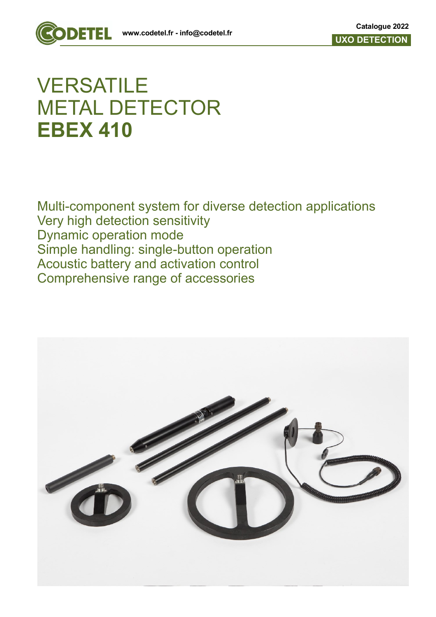

## **VERSATILE** METAL DETECTOR **EBEX 410**

Multi-component system for diverse detection applications Very high detection sensitivity Dynamic operation mode Simple handling: single-button operation Acoustic battery and activation control Comprehensive range of accessories